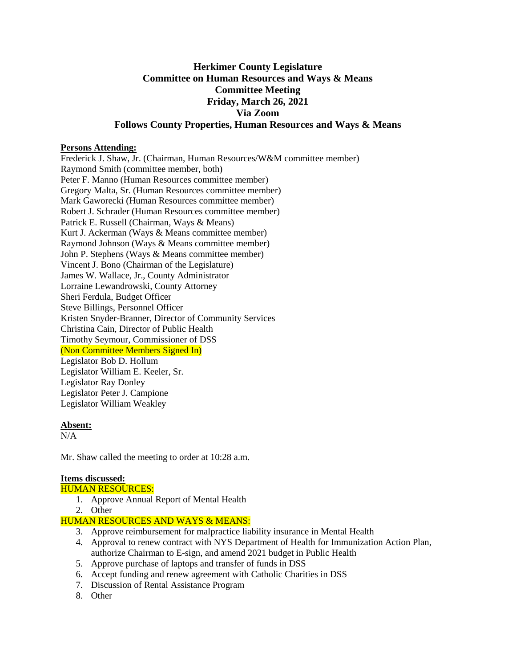# **Herkimer County Legislature Committee on Human Resources and Ways & Means Committee Meeting Friday, March 26, 2021 Via Zoom Follows County Properties, Human Resources and Ways & Means**

### **Persons Attending:**

Frederick J. Shaw, Jr. (Chairman, Human Resources/W&M committee member) Raymond Smith (committee member, both) Peter F. Manno (Human Resources committee member) Gregory Malta, Sr. (Human Resources committee member) Mark Gaworecki (Human Resources committee member) Robert J. Schrader (Human Resources committee member) Patrick E. Russell (Chairman, Ways & Means) Kurt J. Ackerman (Ways & Means committee member) Raymond Johnson (Ways & Means committee member) John P. Stephens (Ways & Means committee member) Vincent J. Bono (Chairman of the Legislature) James W. Wallace, Jr., County Administrator Lorraine Lewandrowski, County Attorney Sheri Ferdula, Budget Officer Steve Billings, Personnel Officer Kristen Snyder-Branner, Director of Community Services Christina Cain, Director of Public Health Timothy Seymour, Commissioner of DSS (Non Committee Members Signed In) Legislator Bob D. Hollum Legislator William E. Keeler, Sr. Legislator Ray Donley Legislator Peter J. Campione Legislator William Weakley

### **Absent:**

N/A

Mr. Shaw called the meeting to order at 10:28 a.m.

### **Items discussed:**

### HUMAN RESOURCES:

- 1. Approve Annual Report of Mental Health
- 2. Other

### HUMAN RESOURCES AND WAYS & MEANS:

- 3. Approve reimbursement for malpractice liability insurance in Mental Health
- 4. Approval to renew contract with NYS Department of Health for Immunization Action Plan, authorize Chairman to E-sign, and amend 2021 budget in Public Health
- 5. Approve purchase of laptops and transfer of funds in DSS
- 6. Accept funding and renew agreement with Catholic Charities in DSS
- 7. Discussion of Rental Assistance Program
- 8. Other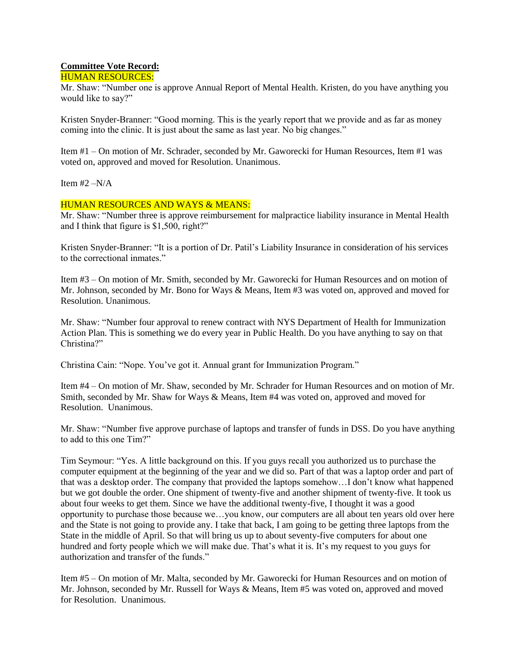## **Committee Vote Record:**

### HUMAN RESOURCES:

Mr. Shaw: "Number one is approve Annual Report of Mental Health. Kristen, do you have anything you would like to say?"

Kristen Snyder-Branner: "Good morning. This is the yearly report that we provide and as far as money coming into the clinic. It is just about the same as last year. No big changes."

Item #1 – On motion of Mr. Schrader, seconded by Mr. Gaworecki for Human Resources, Item #1 was voted on, approved and moved for Resolution. Unanimous.

Item  $#2 - N/A$ 

### HUMAN RESOURCES AND WAYS & MEANS:

Mr. Shaw: "Number three is approve reimbursement for malpractice liability insurance in Mental Health and I think that figure is \$1,500, right?"

Kristen Snyder-Branner: "It is a portion of Dr. Patil's Liability Insurance in consideration of his services to the correctional inmates."

Item #3 – On motion of Mr. Smith, seconded by Mr. Gaworecki for Human Resources and on motion of Mr. Johnson, seconded by Mr. Bono for Ways & Means, Item #3 was voted on, approved and moved for Resolution. Unanimous.

Mr. Shaw: "Number four approval to renew contract with NYS Department of Health for Immunization Action Plan. This is something we do every year in Public Health. Do you have anything to say on that Christina?"

Christina Cain: "Nope. You've got it. Annual grant for Immunization Program."

Item #4 – On motion of Mr. Shaw, seconded by Mr. Schrader for Human Resources and on motion of Mr. Smith, seconded by Mr. Shaw for Ways & Means, Item #4 was voted on, approved and moved for Resolution. Unanimous.

Mr. Shaw: "Number five approve purchase of laptops and transfer of funds in DSS. Do you have anything to add to this one Tim?"

Tim Seymour: "Yes. A little background on this. If you guys recall you authorized us to purchase the computer equipment at the beginning of the year and we did so. Part of that was a laptop order and part of that was a desktop order. The company that provided the laptops somehow…I don't know what happened but we got double the order. One shipment of twenty-five and another shipment of twenty-five. It took us about four weeks to get them. Since we have the additional twenty-five, I thought it was a good opportunity to purchase those because we…you know, our computers are all about ten years old over here and the State is not going to provide any. I take that back, I am going to be getting three laptops from the State in the middle of April. So that will bring us up to about seventy-five computers for about one hundred and forty people which we will make due. That's what it is. It's my request to you guys for authorization and transfer of the funds."

Item #5 – On motion of Mr. Malta, seconded by Mr. Gaworecki for Human Resources and on motion of Mr. Johnson, seconded by Mr. Russell for Ways & Means, Item #5 was voted on, approved and moved for Resolution. Unanimous.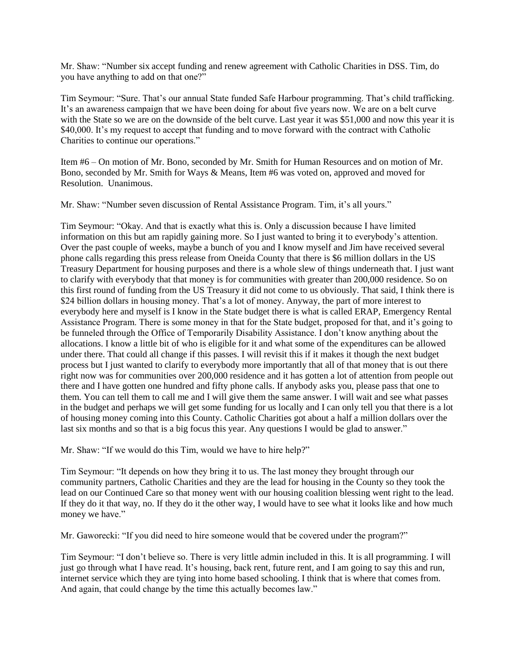Mr. Shaw: "Number six accept funding and renew agreement with Catholic Charities in DSS. Tim, do you have anything to add on that one?"

Tim Seymour: "Sure. That's our annual State funded Safe Harbour programming. That's child trafficking. It's an awareness campaign that we have been doing for about five years now. We are on a belt curve with the State so we are on the downside of the belt curve. Last year it was \$51,000 and now this year it is \$40,000. It's my request to accept that funding and to move forward with the contract with Catholic Charities to continue our operations."

Item #6 – On motion of Mr. Bono, seconded by Mr. Smith for Human Resources and on motion of Mr. Bono, seconded by Mr. Smith for Ways & Means, Item #6 was voted on, approved and moved for Resolution. Unanimous.

Mr. Shaw: "Number seven discussion of Rental Assistance Program. Tim, it's all yours."

Tim Seymour: "Okay. And that is exactly what this is. Only a discussion because I have limited information on this but am rapidly gaining more. So I just wanted to bring it to everybody's attention. Over the past couple of weeks, maybe a bunch of you and I know myself and Jim have received several phone calls regarding this press release from Oneida County that there is \$6 million dollars in the US Treasury Department for housing purposes and there is a whole slew of things underneath that. I just want to clarify with everybody that that money is for communities with greater than 200,000 residence. So on this first round of funding from the US Treasury it did not come to us obviously. That said, I think there is \$24 billion dollars in housing money. That's a lot of money. Anyway, the part of more interest to everybody here and myself is I know in the State budget there is what is called ERAP, Emergency Rental Assistance Program. There is some money in that for the State budget, proposed for that, and it's going to be funneled through the Office of Temporarily Disability Assistance. I don't know anything about the allocations. I know a little bit of who is eligible for it and what some of the expenditures can be allowed under there. That could all change if this passes. I will revisit this if it makes it though the next budget process but I just wanted to clarify to everybody more importantly that all of that money that is out there right now was for communities over 200,000 residence and it has gotten a lot of attention from people out there and I have gotten one hundred and fifty phone calls. If anybody asks you, please pass that one to them. You can tell them to call me and I will give them the same answer. I will wait and see what passes in the budget and perhaps we will get some funding for us locally and I can only tell you that there is a lot of housing money coming into this County. Catholic Charities got about a half a million dollars over the last six months and so that is a big focus this year. Any questions I would be glad to answer."

Mr. Shaw: "If we would do this Tim, would we have to hire help?"

Tim Seymour: "It depends on how they bring it to us. The last money they brought through our community partners, Catholic Charities and they are the lead for housing in the County so they took the lead on our Continued Care so that money went with our housing coalition blessing went right to the lead. If they do it that way, no. If they do it the other way, I would have to see what it looks like and how much money we have."

Mr. Gaworecki: "If you did need to hire someone would that be covered under the program?"

Tim Seymour: "I don't believe so. There is very little admin included in this. It is all programming. I will just go through what I have read. It's housing, back rent, future rent, and I am going to say this and run, internet service which they are tying into home based schooling. I think that is where that comes from. And again, that could change by the time this actually becomes law."